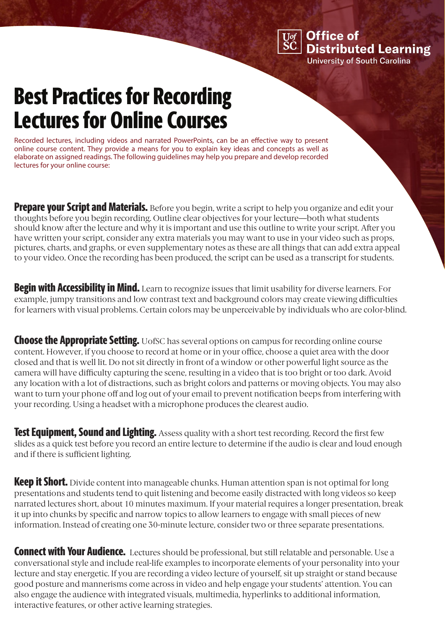**Office of Distributed Learning University of South Carolina** 

## Best Practices for Recording Lectures for Online Courses

Recorded lectures, including videos and narrated PowerPoints, can be an effective way to present online course content. They provide a means for you to explain key ideas and concepts as well as elaborate on assigned readings. The following guidelines may help you prepare and develop recorded lectures for your online course:

**Prepare your Script and Materials.** Before you begin, write a script to help you organize and edit your thoughts before you begin recording. Outline clear objectives for your lecture—both what students should know after the lecture and why it is important and use this outline to write your script. After you have written your script, consider any extra materials you may want to use in your video such as props, pictures, charts, and graphs, or even supplementary notes as these are all things that can add extra appeal to your video. Once the recording has been produced, the script can be used as a transcript for students.

**Begin with Accessibility in Mind.** Learn to recognize issues that limit usability for diverse learners. For example, jumpy transitions and low contrast text and background colors may create viewing difficulties for learners with visual problems. Certain colors may be unperceivable by individuals who are color-blind.

**Choose the Appropriate Setting.** UofSC has several options on campus for recording online course content. However, if you choose to record at home or in your office, choose a quiet area with the door closed and that is well lit. Do not sit directly in front of a window or other powerful light source as the camera will have difficulty capturing the scene, resulting in a video that is too bright or too dark. Avoid any location with a lot of distractions, such as bright colors and patterns or moving objects. You may also want to turn your phone off and log out of your email to prevent notification beeps from interfering with your recording. Using a headset with a microphone produces the clearest audio.

Test Equipment, Sound and Lighting. Assess quality with a short test recording. Record the first few slides as a quick test before you record an entire lecture to determine if the audio is clear and loud enough and if there is sufficient lighting.

**Keep it Short.** Divide content into manageable chunks. Human attention span is not optimal for long presentations and students tend to quit listening and become easily distracted with long videos so keep narrated lectures short, about 10 minutes maximum. If your material requires a longer presentation, break it up into chunks by specific and narrow topics to allow learners to engage with small pieces of new information. Instead of creating one 30-minute lecture, consider two or three separate presentations.

**Connect with Your Audience.** Lectures should be professional, but still relatable and personable. Use a conversational style and include real-life examples to incorporate elements of your personality into your lecture and stay energetic. If you are recording a video lecture of yourself, sit up straight or stand because good posture and mannerisms come across in video and help engage your students' attention. You can also engage the audience with integrated visuals, multimedia, hyperlinks to additional information, interactive features, or other active learning strategies.